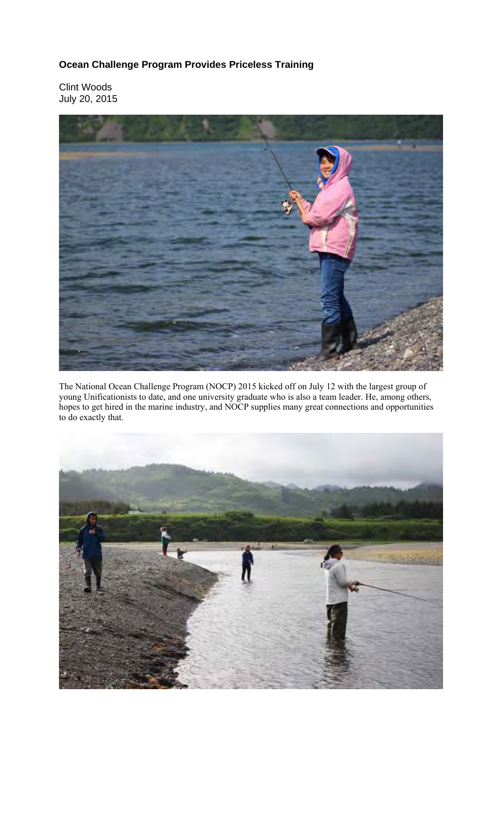## **Ocean Challenge Program Provides Priceless Training**

Clint Woods July 20, 2015



The National Ocean Challenge Program (NOCP) 2015 kicked off on July 12 with the largest group of young Unificationists to date, and one university graduate who is also a team leader. He, among others, hopes to get hired in the marine industry, and NOCP supplies many great connections and opportunities to do exactly that.

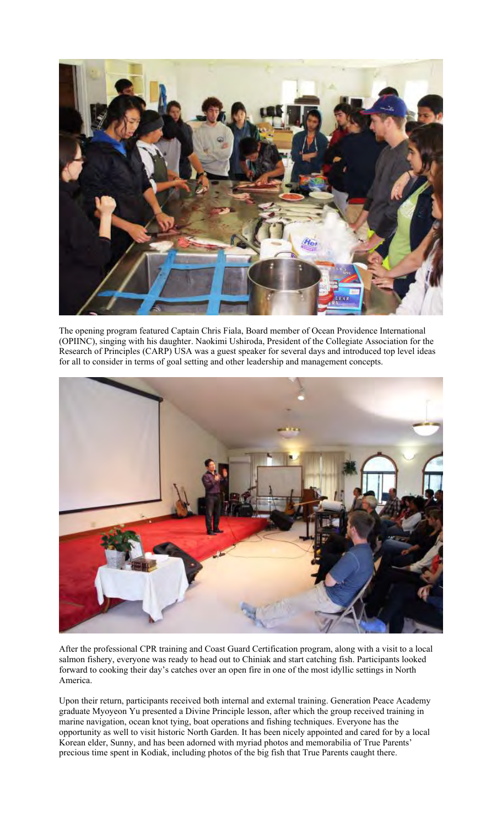

The opening program featured Captain Chris Fiala, Board member of Ocean Providence International (OPIINC), singing with his daughter. Naokimi Ushiroda, President of the Collegiate Association for the Research of Principles (CARP) USA was a guest speaker for several days and introduced top level ideas for all to consider in terms of goal setting and other leadership and management concepts.



After the professional CPR training and Coast Guard Certification program, along with a visit to a local salmon fishery, everyone was ready to head out to Chiniak and start catching fish. Participants looked forward to cooking their day's catches over an open fire in one of the most idyllic settings in North America.

Upon their return, participants received both internal and external training. Generation Peace Academy graduate Myoyeon Yu presented a Divine Principle lesson, after which the group received training in marine navigation, ocean knot tying, boat operations and fishing techniques. Everyone has the opportunity as well to visit historic North Garden. It has been nicely appointed and cared for by a local Korean elder, Sunny, and has been adorned with myriad photos and memorabilia of True Parents' precious time spent in Kodiak, including photos of the big fish that True Parents caught there.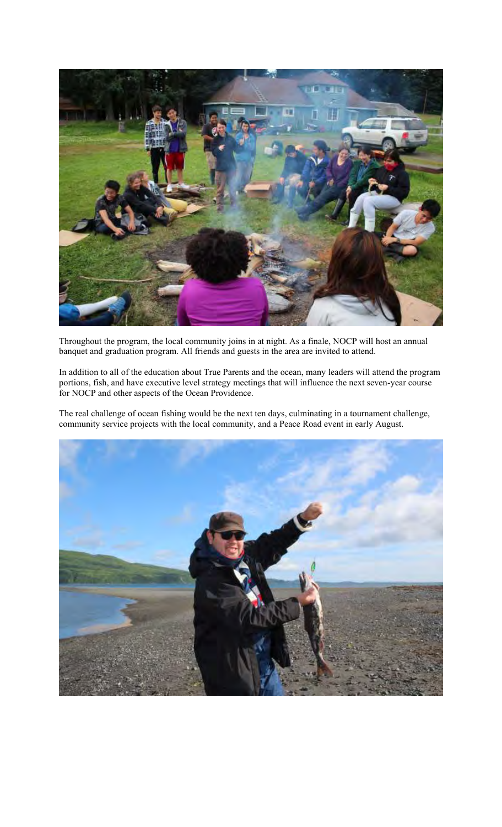

Throughout the program, the local community joins in at night. As a finale, NOCP will host an annual banquet and graduation program. All friends and guests in the area are invited to attend.

In addition to all of the education about True Parents and the ocean, many leaders will attend the program portions, fish, and have executive level strategy meetings that will influence the next seven-year course for NOCP and other aspects of the Ocean Providence.

The real challenge of ocean fishing would be the next ten days, culminating in a tournament challenge, community service projects with the local community, and a Peace Road event in early August.